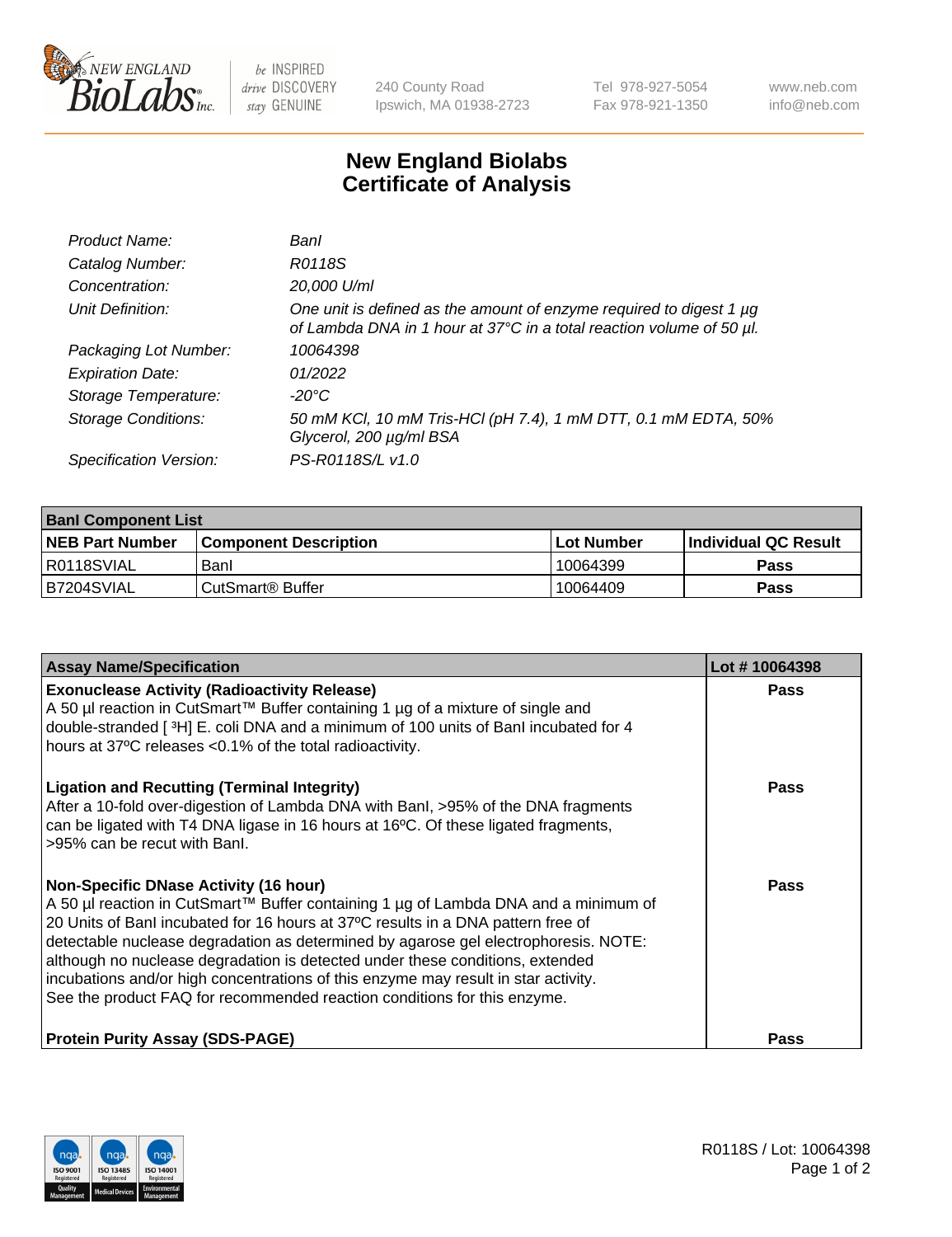

 $be$  INSPIRED drive DISCOVERY stay GENUINE

240 County Road Ipswich, MA 01938-2723 Tel 978-927-5054 Fax 978-921-1350 www.neb.com info@neb.com

## **New England Biolabs Certificate of Analysis**

| Product Name:              | Banl                                                                                                                                        |
|----------------------------|---------------------------------------------------------------------------------------------------------------------------------------------|
| Catalog Number:            | R0118S                                                                                                                                      |
| Concentration:             | 20,000 U/ml                                                                                                                                 |
| Unit Definition:           | One unit is defined as the amount of enzyme required to digest 1 µg<br>of Lambda DNA in 1 hour at 37°C in a total reaction volume of 50 µl. |
| Packaging Lot Number:      | 10064398                                                                                                                                    |
| <b>Expiration Date:</b>    | 01/2022                                                                                                                                     |
| Storage Temperature:       | -20°C                                                                                                                                       |
| <b>Storage Conditions:</b> | 50 mM KCl, 10 mM Tris-HCl (pH 7.4), 1 mM DTT, 0.1 mM EDTA, 50%<br>Glycerol, 200 µg/ml BSA                                                   |
| Specification Version:     | PS-R0118S/L v1.0                                                                                                                            |

| <b>Banl Component List</b> |                              |              |                       |  |
|----------------------------|------------------------------|--------------|-----------------------|--|
| <b>NEB Part Number</b>     | <b>Component Description</b> | l Lot Number | ∣Individual QC Result |  |
| I R0118SVIAL               | Banl                         | 10064399     | Pass                  |  |
| B7204SVIAL                 | l CutSmart® Buffer           | 10064409     | Pass                  |  |

| <b>Assay Name/Specification</b>                                                                                                                                                                                                                                                                                                                                                                                                                                                                                                                                   | Lot #10064398 |
|-------------------------------------------------------------------------------------------------------------------------------------------------------------------------------------------------------------------------------------------------------------------------------------------------------------------------------------------------------------------------------------------------------------------------------------------------------------------------------------------------------------------------------------------------------------------|---------------|
| <b>Exonuclease Activity (Radioactivity Release)</b><br>A 50 µl reaction in CutSmart™ Buffer containing 1 µg of a mixture of single and<br>double-stranded [3H] E. coli DNA and a minimum of 100 units of Banl incubated for 4<br>hours at 37°C releases <0.1% of the total radioactivity.                                                                                                                                                                                                                                                                         | Pass          |
| <b>Ligation and Recutting (Terminal Integrity)</b><br>After a 10-fold over-digestion of Lambda DNA with BanI, >95% of the DNA fragments<br>can be ligated with T4 DNA ligase in 16 hours at 16°C. Of these ligated fragments,<br>>95% can be recut with Banl.                                                                                                                                                                                                                                                                                                     | Pass          |
| <b>Non-Specific DNase Activity (16 hour)</b><br>A 50 µl reaction in CutSmart™ Buffer containing 1 µg of Lambda DNA and a minimum of<br>20 Units of Banl incubated for 16 hours at 37°C results in a DNA pattern free of<br>detectable nuclease degradation as determined by agarose gel electrophoresis. NOTE:<br>although no nuclease degradation is detected under these conditions, extended<br>incubations and/or high concentrations of this enzyme may result in star activity.<br>See the product FAQ for recommended reaction conditions for this enzyme. | Pass          |
| <b>Protein Purity Assay (SDS-PAGE)</b>                                                                                                                                                                                                                                                                                                                                                                                                                                                                                                                            | Pass          |